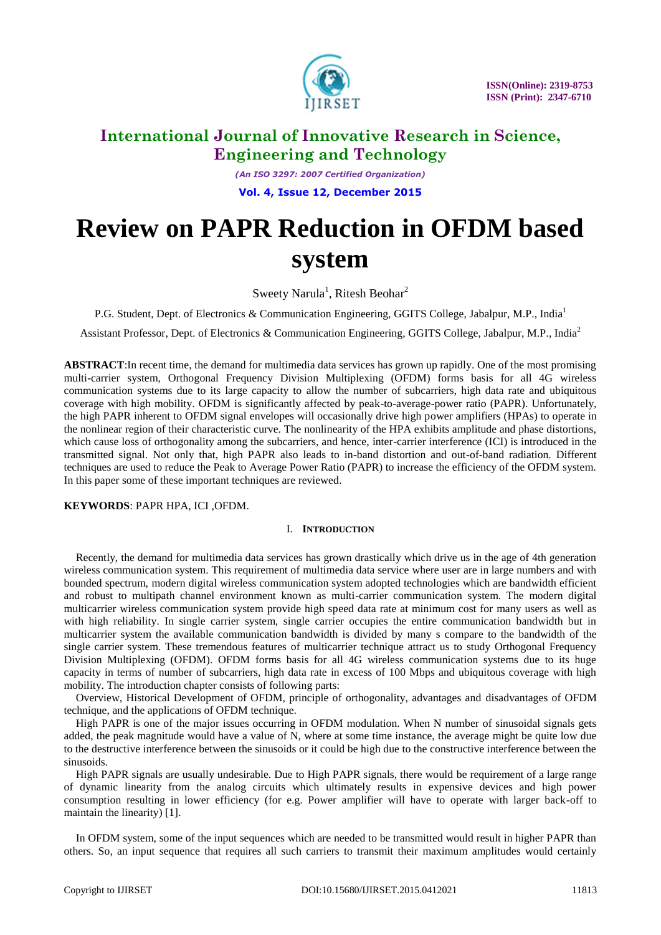

*(An ISO 3297: 2007 Certified Organization)* **Vol. 4, Issue 12, December 2015**

# **Review on PAPR Reduction in OFDM based system**

Sweety Narula<sup>1</sup>, Ritesh Beohar<sup>2</sup>

P.G. Student, Dept. of Electronics & Communication Engineering, GGITS College, Jabalpur, M.P., India<sup>1</sup>

Assistant Professor, Dept. of Electronics & Communication Engineering, GGITS College, Jabalpur, M.P., India<sup>2</sup>

**ABSTRACT**:In recent time, the demand for multimedia data services has grown up rapidly. One of the most promising multi-carrier system, Orthogonal Frequency Division Multiplexing (OFDM) forms basis for all 4G wireless communication systems due to its large capacity to allow the number of subcarriers, high data rate and ubiquitous coverage with high mobility. OFDM is significantly affected by peak-to-average-power ratio (PAPR). Unfortunately, the high PAPR inherent to OFDM signal envelopes will occasionally drive high power amplifiers (HPAs) to operate in the nonlinear region of their characteristic curve. The nonlinearity of the HPA exhibits amplitude and phase distortions, which cause loss of orthogonality among the subcarriers, and hence, inter-carrier interference (ICI) is introduced in the transmitted signal. Not only that, high PAPR also leads to in-band distortion and out-of-band radiation. Different techniques are used to reduce the Peak to Average Power Ratio (PAPR) to increase the efficiency of the OFDM system. In this paper some of these important techniques are reviewed.

# **KEYWORDS**: PAPR HPA, ICI ,OFDM.

# I. **INTRODUCTION**

Recently, the demand for multimedia data services has grown drastically which drive us in the age of 4th generation wireless communication system. This requirement of multimedia data service where user are in large numbers and with bounded spectrum, modern digital wireless communication system adopted technologies which are bandwidth efficient and robust to multipath channel environment known as multi-carrier communication system. The modern digital multicarrier wireless communication system provide high speed data rate at minimum cost for many users as well as with high reliability. In single carrier system, single carrier occupies the entire communication bandwidth but in multicarrier system the available communication bandwidth is divided by many s compare to the bandwidth of the single carrier system. These tremendous features of multicarrier technique attract us to study Orthogonal Frequency Division Multiplexing (OFDM). OFDM forms basis for all 4G wireless communication systems due to its huge capacity in terms of number of subcarriers, high data rate in excess of 100 Mbps and ubiquitous coverage with high mobility. The introduction chapter consists of following parts:

Overview, Historical Development of OFDM, principle of orthogonality, advantages and disadvantages of OFDM technique, and the applications of OFDM technique.

High PAPR is one of the major issues occurring in OFDM modulation. When N number of sinusoidal signals gets added, the peak magnitude would have a value of N, where at some time instance, the average might be quite low due to the destructive interference between the sinusoids or it could be high due to the constructive interference between the sinusoids.

High PAPR signals are usually undesirable. Due to High PAPR signals, there would be requirement of a large range of dynamic linearity from the analog circuits which ultimately results in expensive devices and high power consumption resulting in lower efficiency (for e.g. Power amplifier will have to operate with larger back-off to maintain the linearity) [1].

In OFDM system, some of the input sequences which are needed to be transmitted would result in higher PAPR than others. So, an input sequence that requires all such carriers to transmit their maximum amplitudes would certainly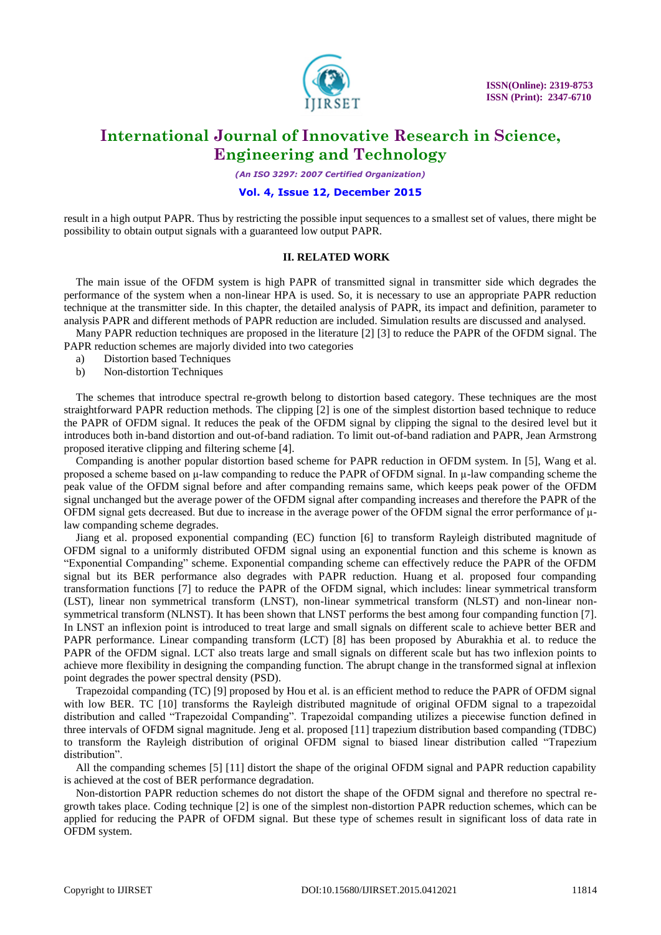

*(An ISO 3297: 2007 Certified Organization)*

### **Vol. 4, Issue 12, December 2015**

result in a high output PAPR. Thus by restricting the possible input sequences to a smallest set of values, there might be possibility to obtain output signals with a guaranteed low output PAPR.

#### **II. RELATED WORK**

The main issue of the OFDM system is high PAPR of transmitted signal in transmitter side which degrades the performance of the system when a non-linear HPA is used. So, it is necessary to use an appropriate PAPR reduction technique at the transmitter side. In this chapter, the detailed analysis of PAPR, its impact and definition, parameter to analysis PAPR and different methods of PAPR reduction are included. Simulation results are discussed and analysed.

Many PAPR reduction techniques are proposed in the literature [2] [3] to reduce the PAPR of the OFDM signal. The PAPR reduction schemes are majorly divided into two categories

- a) Distortion based Techniques
- b) Non-distortion Techniques

The schemes that introduce spectral re-growth belong to distortion based category. These techniques are the most straightforward PAPR reduction methods. The clipping [2] is one of the simplest distortion based technique to reduce the PAPR of OFDM signal. It reduces the peak of the OFDM signal by clipping the signal to the desired level but it introduces both in-band distortion and out-of-band radiation. To limit out-of-band radiation and PAPR, Jean Armstrong proposed iterative clipping and filtering scheme [4].

Companding is another popular distortion based scheme for PAPR reduction in OFDM system. In [5], Wang et al. proposed a scheme based on μ-law companding to reduce the PAPR of OFDM signal. In μ-law companding scheme the peak value of the OFDM signal before and after companding remains same, which keeps peak power of the OFDM signal unchanged but the average power of the OFDM signal after companding increases and therefore the PAPR of the OFDM signal gets decreased. But due to increase in the average power of the OFDM signal the error performance of μlaw companding scheme degrades.

Jiang et al. proposed exponential companding (EC) function [6] to transform Rayleigh distributed magnitude of OFDM signal to a uniformly distributed OFDM signal using an exponential function and this scheme is known as "Exponential Companding" scheme. Exponential companding scheme can effectively reduce the PAPR of the OFDM signal but its BER performance also degrades with PAPR reduction. Huang et al. proposed four companding transformation functions [7] to reduce the PAPR of the OFDM signal, which includes: linear symmetrical transform (LST), linear non symmetrical transform (LNST), non-linear symmetrical transform (NLST) and non-linear nonsymmetrical transform (NLNST). It has been shown that LNST performs the best among four companding function [7]. In LNST an inflexion point is introduced to treat large and small signals on different scale to achieve better BER and PAPR performance. Linear companding transform (LCT) [8] has been proposed by Aburakhia et al. to reduce the PAPR of the OFDM signal. LCT also treats large and small signals on different scale but has two inflexion points to achieve more flexibility in designing the companding function. The abrupt change in the transformed signal at inflexion point degrades the power spectral density (PSD).

Trapezoidal companding (TC) [9] proposed by Hou et al. is an efficient method to reduce the PAPR of OFDM signal with low BER. TC [10] transforms the Rayleigh distributed magnitude of original OFDM signal to a trapezoidal distribution and called "Trapezoidal Companding". Trapezoidal companding utilizes a piecewise function defined in three intervals of OFDM signal magnitude. Jeng et al. proposed [11] trapezium distribution based companding (TDBC) to transform the Rayleigh distribution of original OFDM signal to biased linear distribution called "Trapezium distribution".

All the companding schemes [5] [11] distort the shape of the original OFDM signal and PAPR reduction capability is achieved at the cost of BER performance degradation.

Non-distortion PAPR reduction schemes do not distort the shape of the OFDM signal and therefore no spectral regrowth takes place. Coding technique [2] is one of the simplest non-distortion PAPR reduction schemes, which can be applied for reducing the PAPR of OFDM signal. But these type of schemes result in significant loss of data rate in OFDM system.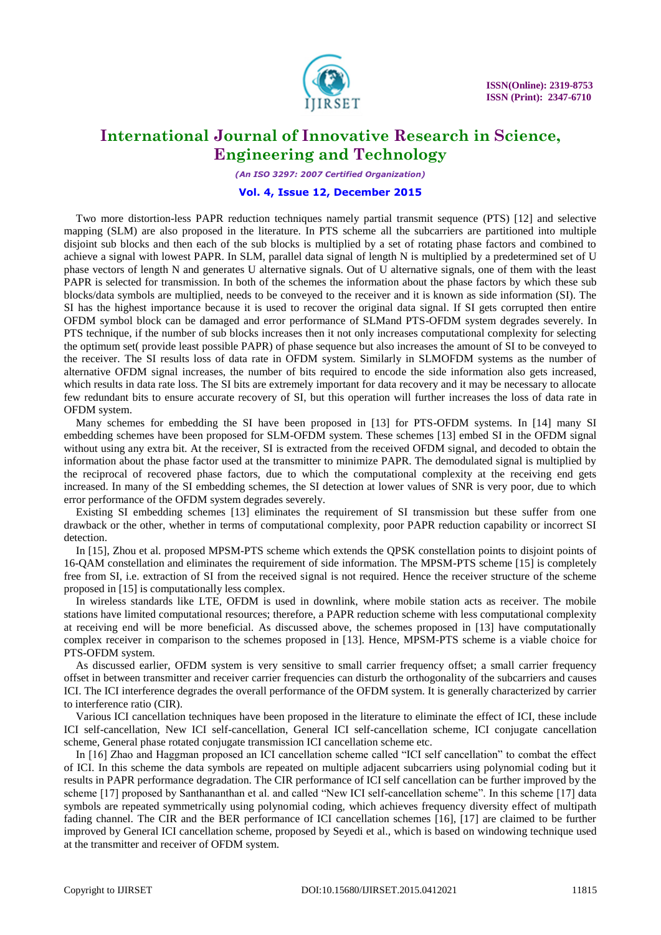

*(An ISO 3297: 2007 Certified Organization)*

### **Vol. 4, Issue 12, December 2015**

Two more distortion-less PAPR reduction techniques namely partial transmit sequence (PTS) [12] and selective mapping (SLM) are also proposed in the literature. In PTS scheme all the subcarriers are partitioned into multiple disjoint sub blocks and then each of the sub blocks is multiplied by a set of rotating phase factors and combined to achieve a signal with lowest PAPR. In SLM, parallel data signal of length N is multiplied by a predetermined set of U phase vectors of length N and generates U alternative signals. Out of U alternative signals, one of them with the least PAPR is selected for transmission. In both of the schemes the information about the phase factors by which these sub blocks/data symbols are multiplied, needs to be conveyed to the receiver and it is known as side information (SI). The SI has the highest importance because it is used to recover the original data signal. If SI gets corrupted then entire OFDM symbol block can be damaged and error performance of SLMand PTS-OFDM system degrades severely. In PTS technique, if the number of sub blocks increases then it not only increases computational complexity for selecting the optimum set( provide least possible PAPR) of phase sequence but also increases the amount of SI to be conveyed to the receiver. The SI results loss of data rate in OFDM system. Similarly in SLMOFDM systems as the number of alternative OFDM signal increases, the number of bits required to encode the side information also gets increased, which results in data rate loss. The SI bits are extremely important for data recovery and it may be necessary to allocate few redundant bits to ensure accurate recovery of SI, but this operation will further increases the loss of data rate in OFDM system.

Many schemes for embedding the SI have been proposed in [13] for PTS-OFDM systems. In [14] many SI embedding schemes have been proposed for SLM-OFDM system. These schemes [13] embed SI in the OFDM signal without using any extra bit. At the receiver, SI is extracted from the received OFDM signal, and decoded to obtain the information about the phase factor used at the transmitter to minimize PAPR. The demodulated signal is multiplied by the reciprocal of recovered phase factors, due to which the computational complexity at the receiving end gets increased. In many of the SI embedding schemes, the SI detection at lower values of SNR is very poor, due to which error performance of the OFDM system degrades severely.

Existing SI embedding schemes [13] eliminates the requirement of SI transmission but these suffer from one drawback or the other, whether in terms of computational complexity, poor PAPR reduction capability or incorrect SI detection.

In [15], Zhou et al. proposed MPSM-PTS scheme which extends the QPSK constellation points to disjoint points of 16-QAM constellation and eliminates the requirement of side information. The MPSM-PTS scheme [15] is completely free from SI, i.e. extraction of SI from the received signal is not required. Hence the receiver structure of the scheme proposed in [15] is computationally less complex.

In wireless standards like LTE, OFDM is used in downlink, where mobile station acts as receiver. The mobile stations have limited computational resources; therefore, a PAPR reduction scheme with less computational complexity at receiving end will be more beneficial. As discussed above, the schemes proposed in [13] have computationally complex receiver in comparison to the schemes proposed in [13]. Hence, MPSM-PTS scheme is a viable choice for PTS-OFDM system.

As discussed earlier, OFDM system is very sensitive to small carrier frequency offset; a small carrier frequency offset in between transmitter and receiver carrier frequencies can disturb the orthogonality of the subcarriers and causes ICI. The ICI interference degrades the overall performance of the OFDM system. It is generally characterized by carrier to interference ratio (CIR).

Various ICI cancellation techniques have been proposed in the literature to eliminate the effect of ICI, these include ICI self-cancellation, New ICI self-cancellation, General ICI self-cancellation scheme, ICI conjugate cancellation scheme, General phase rotated conjugate transmission ICI cancellation scheme etc.

In [16] Zhao and Haggman proposed an ICI cancellation scheme called "ICI self cancellation" to combat the effect of ICI. In this scheme the data symbols are repeated on multiple adjacent subcarriers using polynomial coding but it results in PAPR performance degradation. The CIR performance of ICI self cancellation can be further improved by the scheme [17] proposed by Santhananthan et al. and called "New ICI self-cancellation scheme". In this scheme [17] data symbols are repeated symmetrically using polynomial coding, which achieves frequency diversity effect of multipath fading channel. The CIR and the BER performance of ICI cancellation schemes [16], [17] are claimed to be further improved by General ICI cancellation scheme, proposed by Seyedi et al., which is based on windowing technique used at the transmitter and receiver of OFDM system.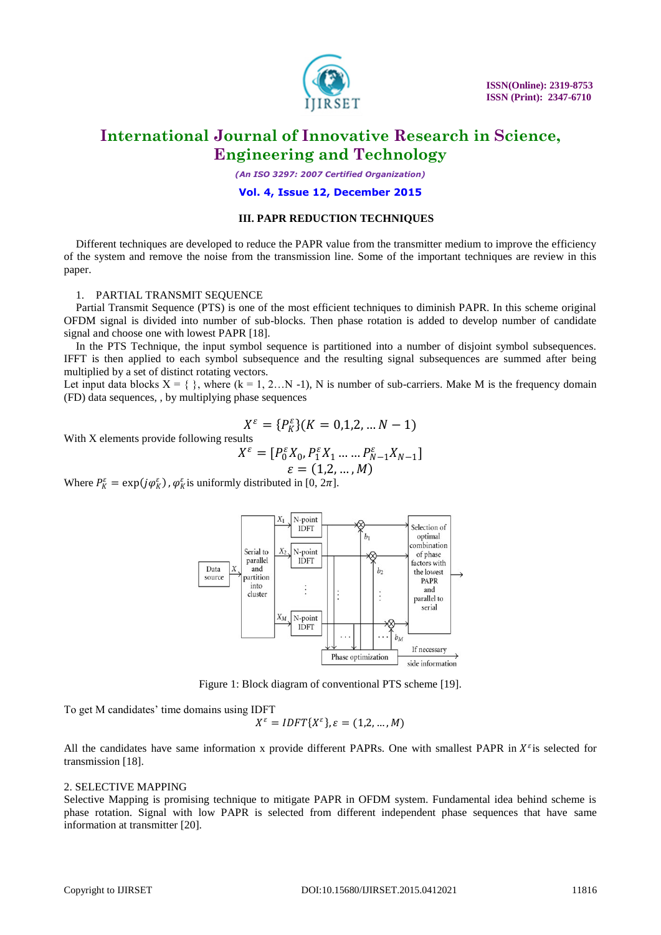

 **ISSN(Online): 2319-8753 ISSN (Print): 2347-6710**

# **International Journal of Innovative Research in Science, Engineering and Technology**

*(An ISO 3297: 2007 Certified Organization)*

### **Vol. 4, Issue 12, December 2015**

### **III. PAPR REDUCTION TECHNIQUES**

Different techniques are developed to reduce the PAPR value from the transmitter medium to improve the efficiency of the system and remove the noise from the transmission line. Some of the important techniques are review in this paper.

#### 1. PARTIAL TRANSMIT SEQUENCE

Partial Transmit Sequence (PTS) is one of the most efficient techniques to diminish PAPR. In this scheme original OFDM signal is divided into number of sub-blocks. Then phase rotation is added to develop number of candidate signal and choose one with lowest PAPR [18].

In the PTS Technique, the input symbol sequence is partitioned into a number of disjoint symbol subsequences. IFFT is then applied to each symbol subsequence and the resulting signal subsequences are summed after being multiplied by a set of distinct rotating vectors.

Let input data blocks  $X = \{ \}$ , where  $(k = 1, 2...N - 1)$ , N is number of sub-carriers. Make M is the frequency domain (FD) data sequences, , by multiplying phase sequences

$$
X^{\varepsilon} = \{P_{K}^{\varepsilon}\}(K = 0, 1, 2, \ldots N - 1)
$$

With X elements provide following results

$$
X^{\varepsilon} = [P_0^{\varepsilon} X_0, P_1^{\varepsilon} X_1 \dots P_{N-1}^{\varepsilon} X_{N-1}]
$$
  

$$
\varepsilon = (1, 2, \dots, M)
$$

Where  $P_K^{\varepsilon} = \exp(j\varphi_K^{\varepsilon})$ ,  $\varphi_K^{\varepsilon}$  is uniformly distributed in [0,  $2\pi$ ].



Figure 1: Block diagram of conventional PTS scheme [19].

To get M candidates' time domains using IDFT

$$
X^{\varepsilon} = IDFT\{X^{\varepsilon}\}, \varepsilon = (1, 2, \dots, M)
$$

All the candidates have same information x provide different PAPRs. One with smallest PAPR in  $X^{\varepsilon}$  is selected for transmission [18].

### 2. SELECTIVE MAPPING

Selective Mapping is promising technique to mitigate PAPR in OFDM system. Fundamental idea behind scheme is phase rotation. Signal with low PAPR is selected from different independent phase sequences that have same information at transmitter [20].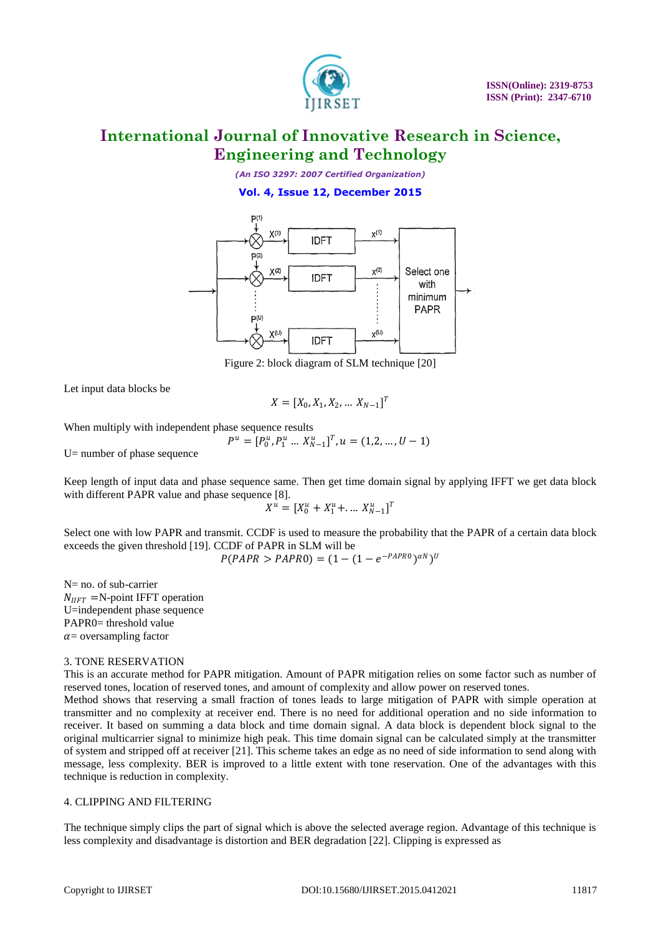

*(An ISO 3297: 2007 Certified Organization)*

# **Vol. 4, Issue 12, December 2015**



Figure 2: block diagram of SLM technique [20]

Let input data blocks be

$$
X = [X_0, X_1, X_2, \dots X_{N-1}]^T
$$

When multiply with independent phase sequence results

 $P^u = [P_0^u, P_1^u \dots X_{N-1}^u]^T, u = (1, 2, \dots, U - 1)$ 

U= number of phase sequence

Keep length of input data and phase sequence same. Then get time domain signal by applying IFFT we get data block with different PAPR value and phase sequence [8].

$$
X^u = [X_0^u + X_1^u + \dots X_{N-1}^u]^T
$$

Select one with low PAPR and transmit. CCDF is used to measure the probability that the PAPR of a certain data block exceeds the given threshold [19]. CCDF of PAPR in SLM will be

$$
P(PAPR > PAPR0) = (1 - (1 - e^{-PAPR0})^{\alpha N})^U
$$

N= no. of sub-carrier  $N_{IIFT}$  =N-point IFFT operation U=independent phase sequence PAPR0= threshold value  $\alpha$  = oversampling factor

### 3. TONE RESERVATION

This is an accurate method for PAPR mitigation. Amount of PAPR mitigation relies on some factor such as number of reserved tones, location of reserved tones, and amount of complexity and allow power on reserved tones.

Method shows that reserving a small fraction of tones leads to large mitigation of PAPR with simple operation at transmitter and no complexity at receiver end. There is no need for additional operation and no side information to receiver. It based on summing a data block and time domain signal. A data block is dependent block signal to the original multicarrier signal to minimize high peak. This time domain signal can be calculated simply at the transmitter of system and stripped off at receiver [21]. This scheme takes an edge as no need of side information to send along with message, less complexity. BER is improved to a little extent with tone reservation. One of the advantages with this technique is reduction in complexity.

### 4. CLIPPING AND FILTERING

The technique simply clips the part of signal which is above the selected average region. Advantage of this technique is less complexity and disadvantage is distortion and BER degradation [22]. Clipping is expressed as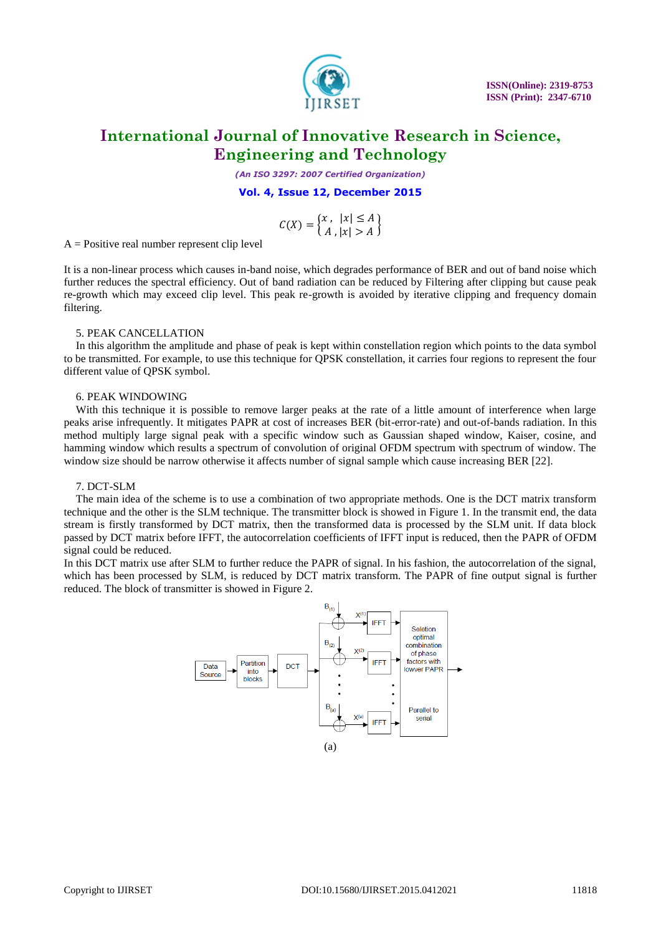

*(An ISO 3297: 2007 Certified Organization)*

**Vol. 4, Issue 12, December 2015**

$$
C(X) = \begin{cases} x, & |x| \le A \\ A, & |x| > A \end{cases}
$$

 $A = Positive real number represent clip level$ 

It is a non-linear process which causes in-band noise, which degrades performance of BER and out of band noise which further reduces the spectral efficiency. Out of band radiation can be reduced by Filtering after clipping but cause peak re-growth which may exceed clip level. This peak re-growth is avoided by iterative clipping and frequency domain filtering.

#### 5. PEAK CANCELLATION

In this algorithm the amplitude and phase of peak is kept within constellation region which points to the data symbol to be transmitted. For example, to use this technique for QPSK constellation, it carries four regions to represent the four different value of QPSK symbol.

#### 6. PEAK WINDOWING

With this technique it is possible to remove larger peaks at the rate of a little amount of interference when large peaks arise infrequently. It mitigates PAPR at cost of increases BER (bit-error-rate) and out-of-bands radiation. In this method multiply large signal peak with a specific window such as Gaussian shaped window, Kaiser, cosine, and hamming window which results a spectrum of convolution of original OFDM spectrum with spectrum of window. The window size should be narrow otherwise it affects number of signal sample which cause increasing BER [22].

#### 7. DCT-SLM

The main idea of the scheme is to use a combination of two appropriate methods. One is the DCT matrix transform technique and the other is the SLM technique. The transmitter block is showed in Figure 1. In the transmit end, the data stream is firstly transformed by DCT matrix, then the transformed data is processed by the SLM unit. If data block passed by DCT matrix before IFFT, the autocorrelation coefficients of IFFT input is reduced, then the PAPR of OFDM signal could be reduced.

In this DCT matrix use after SLM to further reduce the PAPR of signal. In his fashion, the autocorrelation of the signal, which has been processed by SLM, is reduced by DCT matrix transform. The PAPR of fine output signal is further reduced. The block of transmitter is showed in Figure 2.

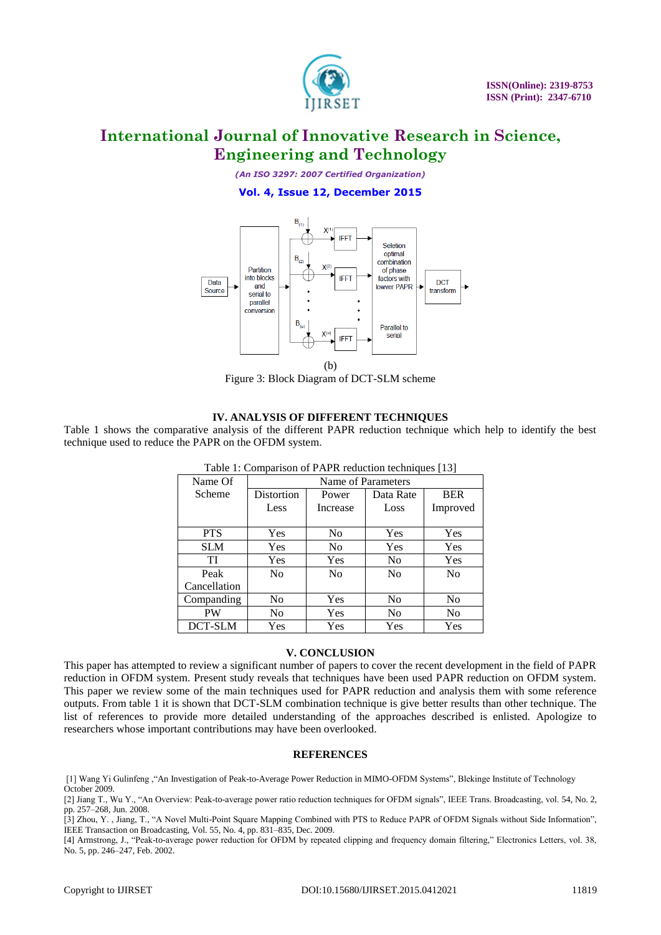

*(An ISO 3297: 2007 Certified Organization)*

# **Vol. 4, Issue 12, December 2015**



Figure 3: Block Diagram of DCT-SLM scheme

# **IV. ANALYSIS OF DIFFERENT TECHNIQUES**

Table 1 shows the comparative analysis of the different PAPR reduction technique which help to identify the best technique used to reduce the PAPR on the OFDM system.

| Name Of      | Name of Parameters |                |                |                |
|--------------|--------------------|----------------|----------------|----------------|
| Scheme       | Distortion         | Power          | Data Rate      | <b>BER</b>     |
|              | Less               | Increase       | Loss           | Improved       |
|              |                    |                |                |                |
| <b>PTS</b>   | Yes                | N <sub>0</sub> | Yes            | Yes            |
| <b>SLM</b>   | Yes                | N <sub>0</sub> | Yes            | Yes            |
| TI           | Yes                | Yes            | N <sub>0</sub> | Yes            |
| Peak         | N <sub>0</sub>     | N <sub>0</sub> | N <sub>0</sub> | N <sub>0</sub> |
| Cancellation |                    |                |                |                |
| Companding   | No                 | Yes            | N <sub>0</sub> | N <sub>0</sub> |
| PW           | No                 | Yes            | N <sub>0</sub> | No             |
| DCT-SLM      | Yes                | Yes            | Yes            | Yes            |

Table 1: Comparison of PAPR reduction techniques [13]

### **V. CONCLUSION**

This paper has attempted to review a significant number of papers to cover the recent development in the field of PAPR reduction in OFDM system. Present study reveals that techniques have been used PAPR reduction on OFDM system. This paper we review some of the main techniques used for PAPR reduction and analysis them with some reference outputs. From table 1 it is shown that DCT-SLM combination technique is give better results than other technique. The list of references to provide more detailed understanding of the approaches described is enlisted. Apologize to researchers whose important contributions may have been overlooked.

#### **REFERENCES**

[1] Wang Yi Gulinfeng ,"An Investigation of Peak-to-Average Power Reduction in MIMO-OFDM Systems", Blekinge Institute of Technology October 2009.

[4] Armstrong, J., "Peak-to-average power reduction for OFDM by repeated clipping and frequency domain filtering," Electronics Letters, vol. 38, No. 5, pp. 246–247, Feb. 2002.

<sup>[2]</sup> Jiang T., Wu Y., "An Overview: Peak-to-average power ratio reduction techniques for OFDM signals", IEEE Trans. Broadcasting, vol. 54, No. 2, pp. 257–268, Jun. 2008.

<sup>[3]</sup> Zhou, Y. , Jiang, T., "A Novel Multi-Point Square Mapping Combined with PTS to Reduce PAPR of OFDM Signals without Side Information", IEEE Transaction on Broadcasting, Vol. 55, No. 4, pp. 831–835, Dec. 2009.